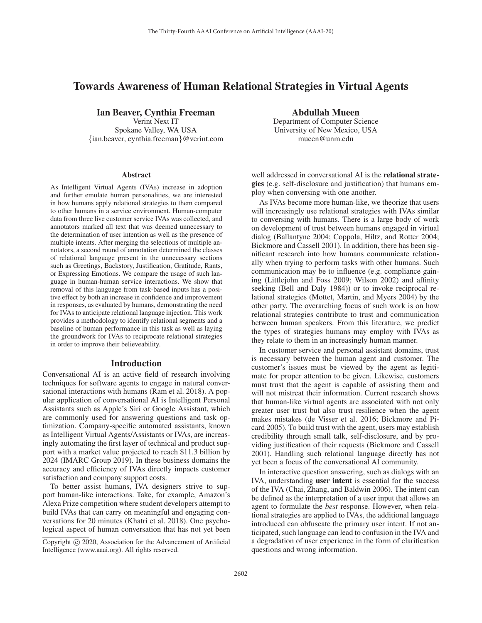# Towards Awareness of Human Relational Strategies in Virtual Agents

Ian Beaver, Cynthia Freeman

Verint Next IT Spokane Valley, WA USA {ian.beaver, cynthia.freeman}@verint.com

### **Abstract**

As Intelligent Virtual Agents (IVAs) increase in adoption and further emulate human personalities, we are interested in how humans apply relational strategies to them compared to other humans in a service environment. Human-computer data from three live customer service IVAs was collected, and annotators marked all text that was deemed unnecessary to the determination of user intention as well as the presence of multiple intents. After merging the selections of multiple annotators, a second round of annotation determined the classes of relational language present in the unnecessary sections such as Greetings, Backstory, Justification, Gratitude, Rants, or Expressing Emotions. We compare the usage of such language in human-human service interactions. We show that removal of this language from task-based inputs has a positive effect by both an increase in confidence and improvement in responses, as evaluated by humans, demonstrating the need for IVAs to anticipate relational language injection. This work provides a methodology to identify relational segments and a baseline of human performance in this task as well as laying the groundwork for IVAs to reciprocate relational strategies in order to improve their believeability.

#### **Introduction**

Conversational AI is an active field of research involving techniques for software agents to engage in natural conversational interactions with humans (Ram et al. 2018). A popular application of conversational AI is Intelligent Personal Assistants such as Apple's Siri or Google Assistant, which are commonly used for answering questions and task optimization. Company-specific automated assistants, known as Intelligent Virtual Agents/Assistants or IVAs, are increasingly automating the first layer of technical and product support with a market value projected to reach \$11.3 billion by 2024 (IMARC Group 2019). In these business domains the accuracy and efficiency of IVAs directly impacts customer satisfaction and company support costs.

To better assist humans, IVA designers strive to support human-like interactions. Take, for example, Amazon's Alexa Prize competition where student developers attempt to build IVAs that can carry on meaningful and engaging conversations for 20 minutes (Khatri et al. 2018). One psychological aspect of human conversation that has not yet been Abdullah Mueen

Department of Computer Science University of New Mexico, USA mueen@unm.edu

well addressed in conversational AI is the **relational strate**gies (e.g. self-disclosure and justification) that humans employ when conversing with one another.

As IVAs become more human-like, we theorize that users will increasingly use relational strategies with IVAs similar to conversing with humans. There is a large body of work on development of trust between humans engaged in virtual dialog (Ballantyne 2004; Coppola, Hiltz, and Rotter 2004; Bickmore and Cassell 2001). In addition, there has been significant research into how humans communicate relationally when trying to perform tasks with other humans. Such communication may be to influence (e.g. compliance gaining (Littlejohn and Foss 2009; Wilson 2002) and affinity seeking (Bell and Daly 1984)) or to invoke reciprocal relational strategies (Mottet, Martin, and Myers 2004) by the other party. The overarching focus of such work is on how relational strategies contribute to trust and communication between human speakers. From this literature, we predict the types of strategies humans may employ with IVAs as they relate to them in an increasingly human manner.

In customer service and personal assistant domains, trust is necessary between the human agent and customer. The customer's issues must be viewed by the agent as legitimate for proper attention to be given. Likewise, customers must trust that the agent is capable of assisting them and will not mistreat their information. Current research shows that human-like virtual agents are associated with not only greater user trust but also trust resilience when the agent makes mistakes (de Visser et al. 2016; Bickmore and Picard 2005). To build trust with the agent, users may establish credibility through small talk, self-disclosure, and by providing justification of their requests (Bickmore and Cassell 2001). Handling such relational language directly has not yet been a focus of the conversational AI community.

In interactive question answering, such as dialogs with an IVA, understanding user intent is essential for the success of the IVA (Chai, Zhang, and Baldwin 2006). The intent can be defined as the interpretation of a user input that allows an agent to formulate the *best* response. However, when relational strategies are applied to IVAs, the additional language introduced can obfuscate the primary user intent. If not anticipated, such language can lead to confusion in the IVA and a degradation of user experience in the form of clarification questions and wrong information.

Copyright  $\odot$  2020, Association for the Advancement of Artificial Intelligence (www.aaai.org). All rights reserved.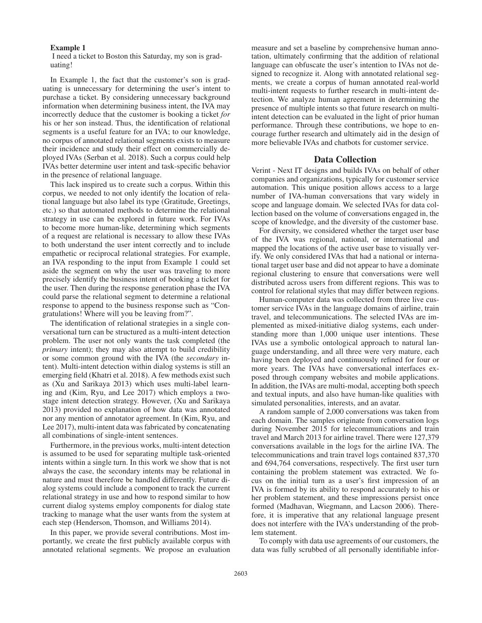### Example 1

I need a ticket to Boston this Saturday, my son is graduating!

In Example 1, the fact that the customer's son is graduating is unnecessary for determining the user's intent to purchase a ticket. By considering unnecessary background information when determining business intent, the IVA may incorrectly deduce that the customer is booking a ticket *for* his or her son instead. Thus, the identification of relational segments is a useful feature for an IVA; to our knowledge, no corpus of annotated relational segments exists to measure their incidence and study their effect on commercially deployed IVAs (Serban et al. 2018). Such a corpus could help IVAs better determine user intent and task-specific behavior in the presence of relational language.

This lack inspired us to create such a corpus. Within this corpus, we needed to not only identify the location of relational language but also label its type (Gratitude, Greetings, etc.) so that automated methods to determine the relational strategy in use can be explored in future work. For IVAs to become more human-like, determining which segments of a request are relational is necessary to allow these IVAs to both understand the user intent correctly and to include empathetic or reciprocal relational strategies. For example, an IVA responding to the input from Example 1 could set aside the segment on why the user was traveling to more precisely identify the business intent of booking a ticket for the user. Then during the response generation phase the IVA could parse the relational segment to determine a relational response to append to the business response such as "Congratulations! Where will you be leaving from?".

The identification of relational strategies in a single conversational turn can be structured as a multi-intent detection problem. The user not only wants the task completed (the *primary* intent); they may also attempt to build credibility or some common ground with the IVA (the *secondary* intent). Multi-intent detection within dialog systems is still an emerging field (Khatri et al. 2018). A few methods exist such as (Xu and Sarikaya 2013) which uses multi-label learning and (Kim, Ryu, and Lee 2017) which employs a twostage intent detection strategy. However, (Xu and Sarikaya 2013) provided no explanation of how data was annotated nor any mention of annotator agreement. In (Kim, Ryu, and Lee 2017), multi-intent data was fabricated by concatenating all combinations of single-intent sentences.

Furthermore, in the previous works, multi-intent detection is assumed to be used for separating multiple task-oriented intents within a single turn. In this work we show that is not always the case, the secondary intents may be relational in nature and must therefore be handled differently. Future dialog systems could include a component to track the current relational strategy in use and how to respond similar to how current dialog systems employ components for dialog state tracking to manage what the user wants from the system at each step (Henderson, Thomson, and Williams 2014).

In this paper, we provide several contributions. Most importantly, we create the first publicly available corpus with annotated relational segments. We propose an evaluation

measure and set a baseline by comprehensive human annotation, ultimately confirming that the addition of relational language can obfuscate the user's intention to IVAs not designed to recognize it. Along with annotated relational segments, we create a corpus of human annotated real-world multi-intent requests to further research in multi-intent detection. We analyze human agreement in determining the presence of multiple intents so that future research on multiintent detection can be evaluated in the light of prior human performance. Through these contributions, we hope to encourage further research and ultimately aid in the design of more believable IVAs and chatbots for customer service.

# Data Collection

Verint - Next IT designs and builds IVAs on behalf of other companies and organizations, typically for customer service automation. This unique position allows access to a large number of IVA-human conversations that vary widely in scope and language domain. We selected IVAs for data collection based on the volume of conversations engaged in, the scope of knowledge, and the diversity of the customer base.

For diversity, we considered whether the target user base of the IVA was regional, national, or international and mapped the locations of the active user base to visually verify. We only considered IVAs that had a national or international target user base and did not appear to have a dominate regional clustering to ensure that conversations were well distributed across users from different regions. This was to control for relational styles that may differ between regions.

Human-computer data was collected from three live customer service IVAs in the language domains of airline, train travel, and telecommunications. The selected IVAs are implemented as mixed-initiative dialog systems, each understanding more than 1,000 unique user intentions. These IVAs use a symbolic ontological approach to natural language understanding, and all three were very mature, each having been deployed and continuously refined for four or more years. The IVAs have conversational interfaces exposed through company websites and mobile applications. In addition, the IVAs are multi-modal, accepting both speech and textual inputs, and also have human-like qualities with simulated personalities, interests, and an avatar.

A random sample of 2,000 conversations was taken from each domain. The samples originate from conversation logs during November 2015 for telecommunications and train travel and March 2013 for airline travel. There were 127,379 conversations available in the logs for the airline IVA. The telecommunications and train travel logs contained 837,370 and 694,764 conversations, respectively. The first user turn containing the problem statement was extracted. We focus on the initial turn as a user's first impression of an IVA is formed by its ability to respond accurately to his or her problem statement, and these impressions persist once formed (Madhavan, Wiegmann, and Lacson 2006). Therefore, it is imperative that any relational language present does not interfere with the IVA's understanding of the problem statement.

To comply with data use agreements of our customers, the data was fully scrubbed of all personally identifiable infor-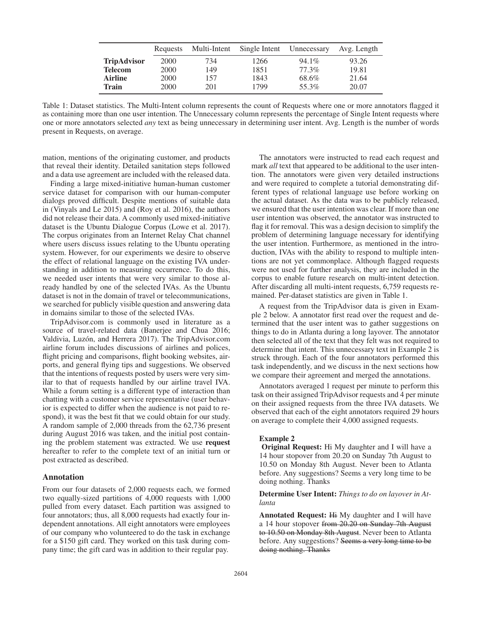|                    | Requests | Multi-Intent | Single Intent | Unnecessary | Avg. Length |
|--------------------|----------|--------------|---------------|-------------|-------------|
| <b>TripAdvisor</b> | 2000     | 734          | 1266          | $94.1\%$    | 93.26       |
| <b>Telecom</b>     | 2000     | 149          | 1851          | 77.3%       | 19.81       |
| <b>Airline</b>     | 2000     | 157          | 1843          | 68.6%       | 21.64       |
| <b>Train</b>       | 2000     | 201          | 1799          | 55.3%       | 20.07       |

Table 1: Dataset statistics. The Multi-Intent column represents the count of Requests where one or more annotators flagged it as containing more than one user intention. The Unnecessary column represents the percentage of Single Intent requests where one or more annotators selected *any* text as being unnecessary in determining user intent. Avg. Length is the number of words present in Requests, on average.

mation, mentions of the originating customer, and products that reveal their identity. Detailed sanitation steps followed and a data use agreement are included with the released data.

Finding a large mixed-initiative human-human customer service dataset for comparison with our human-computer dialogs proved difficult. Despite mentions of suitable data in (Vinyals and Le 2015) and (Roy et al. 2016), the authors did not release their data. A commonly used mixed-initiative dataset is the Ubuntu Dialogue Corpus (Lowe et al. 2017). The corpus originates from an Internet Relay Chat channel where users discuss issues relating to the Ubuntu operating system. However, for our experiments we desire to observe the effect of relational language on the existing IVA understanding in addition to measuring occurrence. To do this, we needed user intents that were very similar to those already handled by one of the selected IVAs. As the Ubuntu dataset is not in the domain of travel or telecommunications, we searched for publicly visible question and answering data in domains similar to those of the selected IVAs.

TripAdvisor.com is commonly used in literature as a source of travel-related data (Banerjee and Chua 2016; Valdivia, Luzón, and Herrera 2017). The TripAdvisor.com airline forum includes discussions of airlines and polices, flight pricing and comparisons, flight booking websites, airports, and general flying tips and suggestions. We observed that the intentions of requests posted by users were very similar to that of requests handled by our airline travel IVA. While a forum setting is a different type of interaction than chatting with a customer service representative (user behavior is expected to differ when the audience is not paid to respond), it was the best fit that we could obtain for our study. A random sample of 2,000 threads from the 62,736 present during August 2016 was taken, and the initial post containing the problem statement was extracted. We use request hereafter to refer to the complete text of an initial turn or post extracted as described.

#### Annotation

From our four datasets of 2,000 requests each, we formed two equally-sized partitions of 4,000 requests with 1,000 pulled from every dataset. Each partition was assigned to four annotators; thus, all 8,000 requests had exactly four independent annotations. All eight annotators were employees of our company who volunteered to do the task in exchange for a \$150 gift card. They worked on this task during company time; the gift card was in addition to their regular pay.

The annotators were instructed to read each request and mark *all* text that appeared to be additional to the user intention. The annotators were given very detailed instructions and were required to complete a tutorial demonstrating different types of relational language use before working on the actual dataset. As the data was to be publicly released, we ensured that the user intention was clear. If more than one user intention was observed, the annotator was instructed to flag it for removal. This was a design decision to simplify the problem of determining language necessary for identifying the user intention. Furthermore, as mentioned in the introduction, IVAs with the ability to respond to multiple intentions are not yet commonplace. Although flagged requests were not used for further analysis, they are included in the corpus to enable future research on multi-intent detection. After discarding all multi-intent requests, 6,759 requests remained. Per-dataset statistics are given in Table 1.

A request from the TripAdvisor data is given in Example 2 below. A annotator first read over the request and determined that the user intent was to gather suggestions on things to do in Atlanta during a long layover. The annotator then selected all of the text that they felt was not required to determine that intent. This unnecessary text in Example 2 is struck through. Each of the four annotators performed this task independently, and we discuss in the next sections how we compare their agreement and merged the annotations.

Annotators averaged 1 request per minute to perform this task on their assigned TripAdvisor requests and 4 per minute on their assigned requests from the three IVA datasets. We observed that each of the eight annotators required 29 hours on average to complete their 4,000 assigned requests.

#### Example 2

Original Request: Hi My daughter and I will have a 14 hour stopover from 20.20 on Sunday 7th August to 10.50 on Monday 8th August. Never been to Atlanta before. Any suggestions? Seems a very long time to be doing nothing. Thanks

### Determine User Intent: *Things to do on layover in Atlanta*

Annotated Request: Hi My daughter and I will have a 14 hour stopover from 20.20 on Sunday 7th August to 10.50 on Monday 8th August. Never been to Atlanta before. Any suggestions? Seems a very long time to be doing nothing. Thanks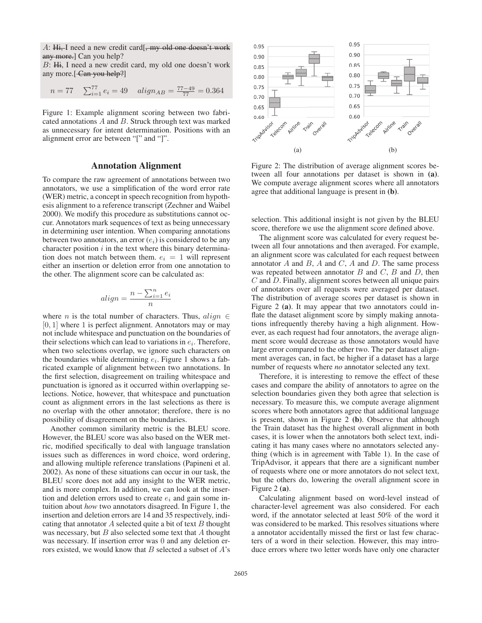A: Hi, I need a new credit card[, my old one doesn't work any more.] Can you help?

<sup>B</sup>: Hi, I need a new credit card, my old one doesn't work any more.[-Can-you-help?]

$$
n = 77 \quad \sum_{i=1}^{77} e_i = 49 \quad align_{AB} = \frac{77 - 49}{77} = 0.364
$$

Figure 1: Example alignment scoring between two fabricated annotations  $A$  and  $B$ . Struck through text was marked as unnecessary for intent determination. Positions with an alignment error are between "[" and "]".

# Annotation Alignment

To compare the raw agreement of annotations between two annotators, we use a simplification of the word error rate (WER) metric, a concept in speech recognition from hypothesis alignment to a reference transcript (Zechner and Waibel 2000). We modify this procedure as substitutions cannot occur. Annotators mark sequences of text as being unnecessary in determining user intention. When comparing annotations between two annotators, an error  $(e_i)$  is considered to be any character position  $i$  in the text where this binary determination does not match between them.  $e_i = 1$  will represent either an insertion or deletion error from one annotation to the other. The alignment score can be calculated as:

$$
align = \frac{n - \sum_{i=1}^{n} e_i}{n}
$$

n where *n* is the total number of characters. Thus,  $align \in [0, 1]$  where 1 is perfect alignment. Appropriators may or may  $[0, 1]$  where 1 is perfect alignment. Annotators may or may not include whitespace and punctuation on the boundaries of their selections which can lead to variations in  $e_i$ . Therefore, when two selections overlap, we ignore such characters on the boundaries while determining  $e_i$ . Figure 1 shows a fabricated example of alignment between two annotations. In the first selection, disagreement on trailing whitespace and punctuation is ignored as it occurred within overlapping selections. Notice, however, that whitespace and punctuation count as alignment errors in the last selections as there is no overlap with the other annotator; therefore, there is no possibility of disagreement on the boundaries.

Another common similarity metric is the BLEU score. However, the BLEU score was also based on the WER metric, modified specifically to deal with language translation issues such as differences in word choice, word ordering, and allowing multiple reference translations (Papineni et al. 2002). As none of these situations can occur in our task, the BLEU score does not add any insight to the WER metric, and is more complex. In addition, we can look at the insertion and deletion errors used to create  $e_i$  and gain some intuition about *how* two annotators disagreed. In Figure 1, the insertion and deletion errors are 14 and 35 respectively, indicating that annotator  $A$  selected quite a bit of text  $B$  thought was necessary, but  $B$  also selected some text that  $A$  thought was necessary. If insertion error was 0 and any deletion errors existed, we would know that  $B$  selected a subset of  $A$ 's



Figure 2: The distribution of average alignment scores between all four annotations per dataset is shown in (a). We compute average alignment scores where all annotators agree that additional language is present in (b).

selection. This additional insight is not given by the BLEU score, therefore we use the alignment score defined above.

The alignment score was calculated for every request between all four annotations and then averaged. For example, an alignment score was calculated for each request between annotator  $A$  and  $B$ ,  $A$  and  $C$ ,  $A$  and  $D$ . The same process was repeated between annotator  $B$  and  $C$ ,  $B$  and  $D$ , then C and D. Finally, alignment scores between all unique pairs of annotators over all requests were averaged per dataset. The distribution of average scores per dataset is shown in Figure 2 (a). It may appear that two annotators could inflate the dataset alignment score by simply making annotations infrequently thereby having a high alignment. However, as each request had four annotators, the average alignment score would decrease as those annotators would have large error compared to the other two. The per dataset alignment averages can, in fact, be higher if a dataset has a large number of requests where *no* annotator selected any text.

Therefore, it is interesting to remove the effect of these cases and compare the ability of annotators to agree on the selection boundaries given they both agree that selection is necessary. To measure this, we compute average alignment scores where both annotators agree that additional language is present, shown in Figure 2 (b). Observe that although the Train dataset has the highest overall alignment in both cases, it is lower when the annotators both select text, indicating it has many cases where no annotators selected anything (which is in agreement with Table 1). In the case of TripAdvisor, it appears that there are a significant number of requests where one or more annotators do not select text, but the others do, lowering the overall alignment score in Figure 2 (a).

Calculating alignment based on word-level instead of character-level agreement was also considered. For each word, if the annotator selected at least 50% of the word it was considered to be marked. This resolves situations where a annotator accidentally missed the first or last few characters of a word in their selection. However, this may introduce errors where two letter words have only one character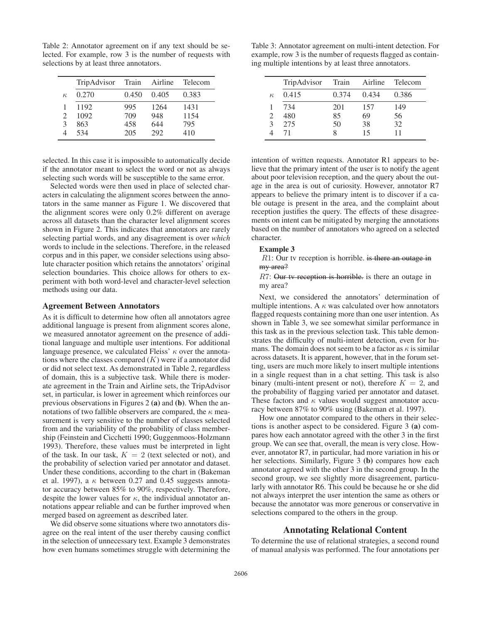Table 2: Annotator agreement on if any text should be selected. For example, row 3 is the number of requests with selections by at least three annotators.

|          | TripAdvisor Train |       | Airline | Telecom |
|----------|-------------------|-------|---------|---------|
| $\kappa$ | 0.270             | 0.450 | 0.405   | 0.383   |
|          | 1192              | 995   | 1264    | 1431    |
|          | 1092              | 709   | 948     | 1154    |
| 3        | 863               | 458   | 644     | 795     |
|          | 534               | 205   | 292     | 410     |

selected. In this case it is impossible to automatically decide if the annotator meant to select the word or not as always selecting such words will be susceptible to the same error.

Selected words were then used in place of selected characters in calculating the alignment scores between the annotators in the same manner as Figure 1. We discovered that the alignment scores were only 0.2% different on average across all datasets than the character level alignment scores shown in Figure 2. This indicates that annotators are rarely selecting partial words, and any disagreement is over *which* words to include in the selections. Therefore, in the released corpus and in this paper, we consider selections using absolute character position which retains the annotators' original selection boundaries. This choice allows for others to experiment with both word-level and character-level selection methods using our data.

# Agreement Between Annotators

As it is difficult to determine how often all annotators agree additional language is present from alignment scores alone, we measured annotator agreement on the presence of additional language and multiple user intentions. For additional language presence, we calculated Fleiss'  $\kappa$  over the annotations where the classes compared  $(K)$  were if a annotator did or did not select text. As demonstrated in Table 2, regardless of domain, this is a subjective task. While there is moderate agreement in the Train and Airline sets, the TripAdvisor set, in particular, is lower in agreement which reinforces our previous observations in Figures 2 (a) and (b). When the annotations of two fallible observers are compared, the  $\kappa$  measurement is very sensitive to the number of classes selected from and the variability of the probability of class membership (Feinstein and Cicchetti 1990; Guggenmoos-Holzmann 1993). Therefore, these values must be interpreted in light of the task. In our task,  $K = 2$  (text selected or not), and the probability of selection varied per annotator and dataset. Under these conditions, according to the chart in (Bakeman et al. 1997), a  $\kappa$  between 0.27 and 0.45 suggests annotator accuracy between 85% to 90%, respectively. Therefore, despite the lower values for  $\kappa$ , the individual annotator annotations appear reliable and can be further improved when merged based on agreement as described later.

We did observe some situations where two annotators disagree on the real intent of the user thereby causing conflict in the selection of unnecessary text. Example 3 demonstrates how even humans sometimes struggle with determining the

Table 3: Annotator agreement on multi-intent detection. For example, row 3 is the number of requests flagged as containing multiple intentions by at least three annotators.

|          | TripAdvisor Train |       | Airline | Telecom |
|----------|-------------------|-------|---------|---------|
| $\kappa$ | 0.415             | 0.374 | 0.434   | 0.386   |
|          | 734               | 201   | 157     | 149     |
| 2        | 480               | 85    | 69      | 56      |
| 3        | 275               | 50    | 38      | 32      |
|          | 71                | 8     | 15      | 11      |

intention of written requests. Annotator R1 appears to believe that the primary intent of the user is to notify the agent about poor television reception, and the query about the outage in the area is out of curiosity. However, annotator R7 appears to believe the primary intent is to discover if a cable outage is present in the area, and the complaint about reception justifies the query. The effects of these disagreements on intent can be mitigated by merging the annotations based on the number of annotators who agreed on a selected character.

#### Example 3

<sup>R</sup>1: Our tv reception is horrible. is there an outage in my area?

R7: Our tv reception is horrible. is there an outage in my area?

Next, we considered the annotators' determination of multiple intentions. A  $\kappa$  was calculated over how annotators flagged requests containing more than one user intention. As shown in Table 3, we see somewhat similar performance in this task as in the previous selection task. This table demonstrates the difficulty of multi-intent detection, even for humans. The domain does not seem to be a factor as  $\kappa$  is similar across datasets. It is apparent, however, that in the forum setting, users are much more likely to insert multiple intentions in a single request than in a chat setting. This task is also binary (multi-intent present or not), therefore  $K = 2$ , and the probability of flagging varied per annotator and dataset. These factors and  $\kappa$  values would suggest annotator accuracy between 87% to 90% using (Bakeman et al. 1997).

How one annotator compared to the others in their selections is another aspect to be considered. Figure 3 (a) compares how each annotator agreed with the other 3 in the first group. We can see that, overall, the mean is very close. However, annotator R7, in particular, had more variation in his or her selections. Similarly, Figure 3 (b) compares how each annotator agreed with the other 3 in the second group. In the second group, we see slightly more disagreement, particularly with annotator R6. This could be because he or she did not always interpret the user intention the same as others or because the annotator was more generous or conservative in selections compared to the others in the group.

#### Annotating Relational Content

To determine the use of relational strategies, a second round of manual analysis was performed. The four annotations per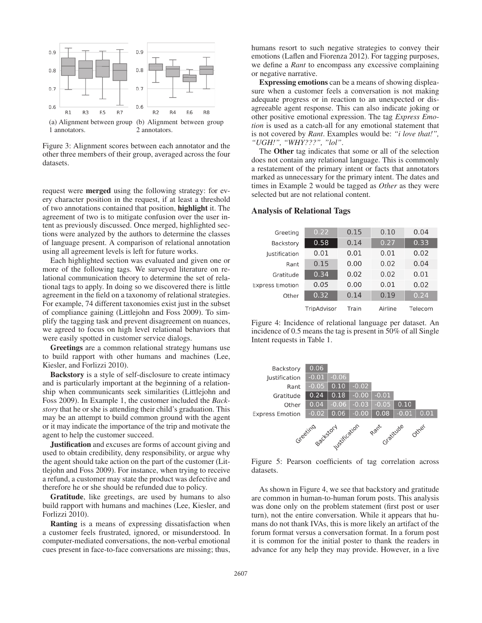

Figure 3: Alignment scores between each annotator and the other three members of their group, averaged across the four datasets.

request were merged using the following strategy: for every character position in the request, if at least a threshold of two annotations contained that position, highlight it. The agreement of two is to mitigate confusion over the user intent as previously discussed. Once merged, highlighted sections were analyzed by the authors to determine the classes of language present. A comparison of relational annotation using all agreement levels is left for future works.

Each highlighted section was evaluated and given one or more of the following tags. We surveyed literature on relational communication theory to determine the set of relational tags to apply. In doing so we discovered there is little agreement in the field on a taxonomy of relational strategies. For example, 74 different taxonomies exist just in the subset of compliance gaining (Littlejohn and Foss 2009). To simplify the tagging task and prevent disagreement on nuances, we agreed to focus on high level relational behaviors that were easily spotted in customer service dialogs.

Greetings are a common relational strategy humans use to build rapport with other humans and machines (Lee, Kiesler, and Forlizzi 2010).

Backstory is a style of self-disclosure to create intimacy and is particularly important at the beginning of a relationship when communicants seek similarities (Littlejohn and Foss 2009). In Example 1, the customer included the *Backstory* that he or she is attending their child's graduation. This may be an attempt to build common ground with the agent or it may indicate the importance of the trip and motivate the agent to help the customer succeed.

Justification and excuses are forms of account giving and used to obtain credibility, deny responsibility, or argue why the agent should take action on the part of the customer (Littlejohn and Foss 2009). For instance, when trying to receive a refund, a customer may state the product was defective and therefore he or she should be refunded due to policy.

Gratitude, like greetings, are used by humans to also build rapport with humans and machines (Lee, Kiesler, and Forlizzi 2010).

Ranting is a means of expressing dissatisfaction when a customer feels frustrated, ignored, or misunderstood. In computer-mediated conversations, the non-verbal emotional cues present in face-to-face conversations are missing; thus,

humans resort to such negative strategies to convey their emotions (Laflen and Fiorenza 2012). For tagging purposes, we define a *Rant* to encompass any excessive complaining or negative narrative.

Expressing emotions can be a means of showing displeasure when a customer feels a conversation is not making adequate progress or in reaction to an unexpected or disagreeable agent response. This can also indicate joking or other positive emotional expression. The tag *Express Emotion* is used as a catch-all for any emotional statement that is not covered by *Rant*. Examples would be: *"i love that!", "UGH!", "WHY???", "lol"*.

The Other tag indicates that some or all of the selection does not contain any relational language. This is commonly a restatement of the primary intent or facts that annotators marked as unnecessary for the primary intent. The dates and times in Example 2 would be tagged as *Other* as they were selected but are not relational content.

### Analysis of Relational Tags

| Greeting               | 0.22        | 0.15  | 0.10    | 0.04    |
|------------------------|-------------|-------|---------|---------|
| Backstory              | 0.58        | 0.14  | 0.27    | 0.33    |
| <b>lustification</b>   | 0.01        | 0.01  | 0.01    | 0.02    |
| Rant                   | 0.15        | 0.00  | 0.02    | 0.04    |
| Gratitude              | 0.34        | 0.02  | 0.02    | 0.01    |
| <b>Express Emotion</b> | 0.05        | 0.00  | 0.01    | 0.02    |
| Other                  | 0.32        | 0.14  | 0.19    | 0.24    |
|                        | TripAdvisor | Train | Airline | Telecom |

Figure 4: Incidence of relational language per dataset. An incidence of 0.5 means the tag is present in 50% of all Single Intent requests in Table 1.



Figure 5: Pearson coefficients of tag correlation across datasets.

As shown in Figure 4, we see that backstory and gratitude are common in human-to-human forum posts. This analysis was done only on the problem statement (first post or user turn), not the entire conversation. While it appears that humans do not thank IVAs, this is more likely an artifact of the forum format versus a conversation format. In a forum post it is common for the initial poster to thank the readers in advance for any help they may provide. However, in a live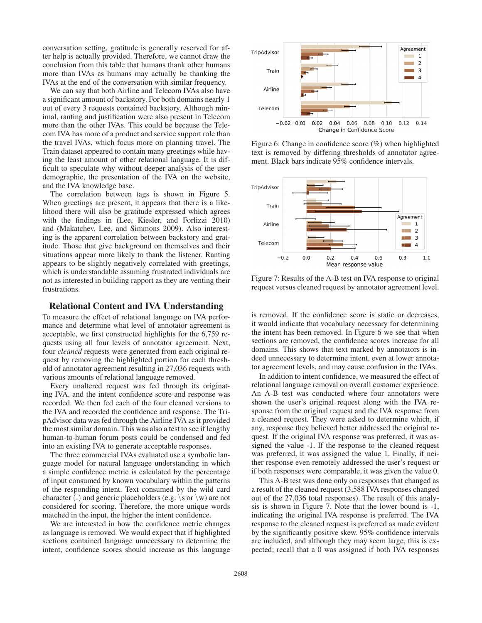conversation setting, gratitude is generally reserved for after help is actually provided. Therefore, we cannot draw the conclusion from this table that humans thank other humans more than IVAs as humans may actually be thanking the IVAs at the end of the conversation with similar frequency.

We can say that both Airline and Telecom IVAs also have a significant amount of backstory. For both domains nearly 1 out of every 3 requests contained backstory. Although minimal, ranting and justification were also present in Telecom more than the other IVAs. This could be because the Telecom IVA has more of a product and service support role than the travel IVAs, which focus more on planning travel. The Train dataset appeared to contain many greetings while having the least amount of other relational language. It is difficult to speculate why without deeper analysis of the user demographic, the presentation of the IVA on the website, and the IVA knowledge base.

The correlation between tags is shown in Figure 5. When greetings are present, it appears that there is a likelihood there will also be gratitude expressed which agrees with the findings in (Lee, Kiesler, and Forlizzi 2010) and (Makatchev, Lee, and Simmons 2009). Also interesting is the apparent correlation between backstory and gratitude. Those that give background on themselves and their situations appear more likely to thank the listener. Ranting appears to be slightly negatively correlated with greetings, which is understandable assuming frustrated individuals are not as interested in building rapport as they are venting their frustrations.

# Relational Content and IVA Understanding

To measure the effect of relational language on IVA performance and determine what level of annotator agreement is acceptable, we first constructed highlights for the 6,759 requests using all four levels of annotator agreement. Next, four *cleaned* requests were generated from each original request by removing the highlighted portion for each threshold of annotator agreement resulting in 27,036 requests with various amounts of relational language removed.

Every unaltered request was fed through its originating IVA, and the intent confidence score and response was recorded. We then fed each of the four cleaned versions to the IVA and recorded the confidence and response. The TripAdvisor data was fed through the Airline IVA as it provided the most similar domain. This was also a test to see if lengthy human-to-human forum posts could be condensed and fed into an existing IVA to generate acceptable responses.

The three commercial IVAs evaluated use a symbolic language model for natural language understanding in which a simple confidence metric is calculated by the percentage of input consumed by known vocabulary within the patterns of the responding intent. Text consumed by the wild card character (.) and generic placeholders (e.g. \s or \w) are not considered for scoring. Therefore, the more unique words matched in the input, the higher the intent confidence.

We are interested in how the confidence metric changes as language is removed. We would expect that if highlighted sections contained language unnecessary to determine the intent, confidence scores should increase as this language



Figure 6: Change in confidence score (%) when highlighted text is removed by differing thresholds of annotator agreement. Black bars indicate 95% confidence intervals.



Figure 7: Results of the A-B test on IVA response to original request versus cleaned request by annotator agreement level.

is removed. If the confidence score is static or decreases, it would indicate that vocabulary necessary for determining the intent has been removed. In Figure 6 we see that when sections are removed, the confidence scores increase for all domains. This shows that text marked by annotators is indeed unnecessary to determine intent, even at lower annotator agreement levels, and may cause confusion in the IVAs.

In addition to intent confidence, we measured the effect of relational language removal on overall customer experience. An A-B test was conducted where four annotators were shown the user's original request along with the IVA response from the original request and the IVA response from a cleaned request. They were asked to determine which, if any, response they believed better addressed the original request. If the original IVA response was preferred, it was assigned the value -1. If the response to the cleaned request was preferred, it was assigned the value 1. Finally, if neither response even remotely addressed the user's request or if both responses were comparable, it was given the value 0.

This A-B test was done only on responses that changed as a result of the cleaned request (3,588 IVA responses changed out of the 27,036 total responses). The result of this analysis is shown in Figure 7. Note that the lower bound is -1, indicating the original IVA response is preferred. The IVA response to the cleaned request is preferred as made evident by the significantly positive skew. 95% confidence intervals are included, and although they may seem large, this is expected; recall that a 0 was assigned if both IVA responses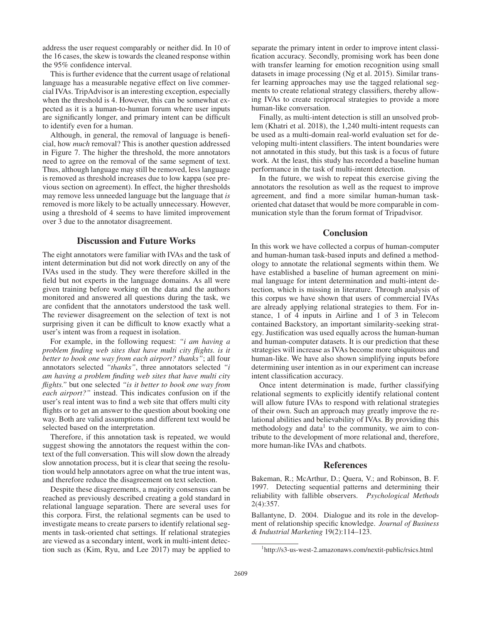address the user request comparably or neither did. In 10 of the 16 cases, the skew is towards the cleaned response within the 95% confidence interval.

This is further evidence that the current usage of relational language has a measurable negative effect on live commercial IVAs. TripAdvisor is an interesting exception, especially when the threshold is 4. However, this can be somewhat expected as it is a human-to-human forum where user inputs are significantly longer, and primary intent can be difficult to identify even for a human.

Although, in general, the removal of language is beneficial, how *much* removal? This is another question addressed in Figure 7. The higher the threshold, the more annotators need to agree on the removal of the same segment of text. Thus, although language may still be removed, less language is removed as threshold increases due to low kappa (see previous section on agreement). In effect, the higher thresholds may remove less unneeded language but the language that *is* removed is more likely to be actually unnecessary. However, using a threshold of 4 seems to have limited improvement over 3 due to the annotator disagreement.

# Discussion and Future Works

The eight annotators were familiar with IVAs and the task of intent determination but did not work directly on any of the IVAs used in the study. They were therefore skilled in the field but not experts in the language domains. As all were given training before working on the data and the authors monitored and answered all questions during the task, we are confident that the annotators understood the task well. The reviewer disagreement on the selection of text is not surprising given it can be difficult to know exactly what a user's intent was from a request in isolation.

For example, in the following request: *"i am having a problem finding web sites that have multi city flights. is it better to book one way from each airport? thanks"*; all four annotators selected *"thanks"*, three annotators selected *"i am having a problem finding web sites that have multi city flights."* but one selected *"is it better to book one way from each airport?"* instead. This indicates confusion on if the user's real intent was to find a web site that offers multi city flights or to get an answer to the question about booking one way. Both are valid assumptions and different text would be selected based on the interpretation.

Therefore, if this annotation task is repeated, we would suggest showing the annotators the request within the context of the full conversation. This will slow down the already slow annotation process, but it is clear that seeing the resolution would help annotators agree on what the true intent was, and therefore reduce the disagreement on text selection.

Despite these disagreements, a majority consensus can be reached as previously described creating a gold standard in relational language separation. There are several uses for this corpora. First, the relational segments can be used to investigate means to create parsers to identify relational segments in task-oriented chat settings. If relational strategies are viewed as a secondary intent, work in multi-intent detection such as (Kim, Ryu, and Lee 2017) may be applied to separate the primary intent in order to improve intent classification accuracy. Secondly, promising work has been done with transfer learning for emotion recognition using small datasets in image processing (Ng et al. 2015). Similar transfer learning approaches may use the tagged relational segments to create relational strategy classifiers, thereby allowing IVAs to create reciprocal strategies to provide a more human-like conversation.

Finally, as multi-intent detection is still an unsolved problem (Khatri et al. 2018), the 1,240 multi-intent requests can be used as a multi-domain real-world evaluation set for developing multi-intent classifiers. The intent boundaries were not annotated in this study, but this task is a focus of future work. At the least, this study has recorded a baseline human performance in the task of multi-intent detection.

In the future, we wish to repeat this exercise giving the annotators the resolution as well as the request to improve agreement, and find a more similar human-human taskoriented chat dataset that would be more comparable in communication style than the forum format of Tripadvisor.

# **Conclusion**

In this work we have collected a corpus of human-computer and human-human task-based inputs and defined a methodology to annotate the relational segments within them. We have established a baseline of human agreement on minimal language for intent determination and multi-intent detection, which is missing in literature. Through analysis of this corpus we have shown that users of commercial IVAs are already applying relational strategies to them. For instance, 1 of 4 inputs in Airline and 1 of 3 in Telecom contained Backstory, an important similarity-seeking strategy. Justification was used equally across the human-human and human-computer datasets. It is our prediction that these strategies will increase as IVAs become more ubiquitous and human-like. We have also shown simplifying inputs before determining user intention as in our experiment can increase intent classification accuracy.

Once intent determination is made, further classifying relational segments to explicitly identify relational content will allow future IVAs to respond with relational strategies of their own. Such an approach may greatly improve the relational abilities and believability of IVAs. By providing this methodology and data<sup>1</sup> to the community, we aim to contribute to the development of more relational and, therefore, more human-like IVAs and chatbots.

### References

Bakeman, R.; McArthur, D.; Quera, V.; and Robinson, B. F. 1997. Detecting sequential patterns and determining their reliability with fallible observers. *Psychological Methods* 2(4):357.

Ballantyne, D. 2004. Dialogue and its role in the development of relationship specific knowledge. *Journal of Business & Industrial Marketing* 19(2):114–123.

<sup>1</sup> http://s3-us-west-2.amazonaws.com/nextit-public/rsics.html